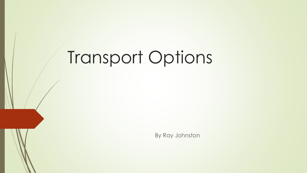# Transport Options

By Ray Johnston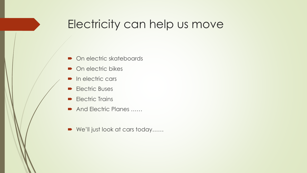#### Electricity can help us move

- On electric skateboards
- On electric bikes
- In electric cars
- **Electric Buses**
- **Electric Trains**
- And Electric Planes ……
- We'll just look at cars today……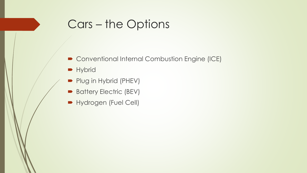#### Cars – the Options

- Conventional Internal Combustion Engine (ICE)
- **Hybrid**
- Plug in Hybrid (PHEV)
- Battery Electric (BEV)
- **Hydrogen (Fuel Cell)**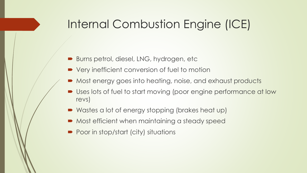#### Internal Combustion Engine (ICE)

- Burns petrol, diesel, LNG, hydrogen, etc
- Very inefficient conversion of fuel to motion
- Most energy goes into heating, noise, and exhaust products
- Uses lots of fuel to start moving (poor engine performance at low revs)
- Wastes a lot of energy stopping (brakes heat up)
- $\blacksquare$  Most efficient when maintaining a steady speed
- Poor in stop/start (city) situations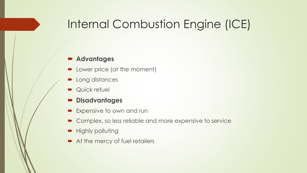#### Internal Combustion Engine (ICE)

- Lower price (at the moment)
- Long distances
- **Quick refuel**
- **Disadvantages**
- Expensive to own and run
- Complex, so less reliable and more expensive to service
- Highly polluting
- At the mercy of fuel retailers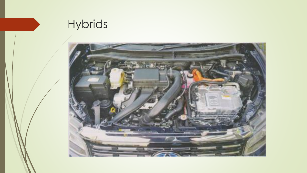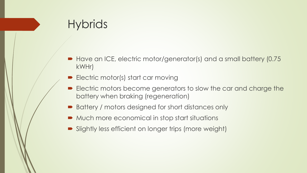- Have an ICE, electric motor/generator(s) and a small battery (0.75 kWHr)
- Electric motor(s) start car moving
- **Electric motors become generators to slow the car and charge the** battery when braking (regeneration)
- Battery / motors designed for short distances only
- Much more economical in stop start situations
- Slightly less efficient on longer trips (more weight)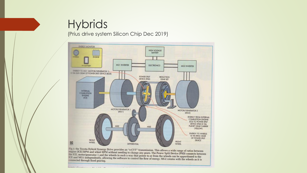(Prius drive system Silicon Chip Dec 2019)



connected through fixed gearing. models Construction 11 111 a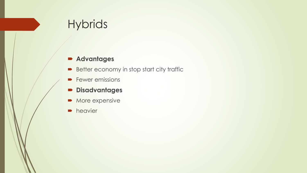- Better economy in stop start city traffic
- **Fewer emissions**
- **Disadvantages**
- More expensive
- **heavier**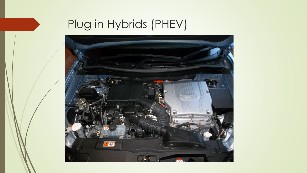

### Plug in Hybrids (PHEV)

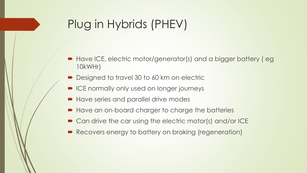### Plug in Hybrids (PHEV)

- Have ICE, electric motor/generator(s) and a bigger battery ( eg 10kWHr)
- Designed to travel 30 to 60 km on electric
- ICE normally only used on longer journeys
- Have series and parallel drive modes
- Have an on-board charger to charge the batteries
- Can drive the car using the electric motor(s) and/or ICE
- Recovers energy to battery on braking (regeneration)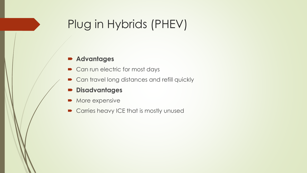### Plug in Hybrids (PHEV)

- Can run electric for most days
- **Can travel long distances and refill quickly**
- **Disadvantages**
- More expensive
- **Carries heavy ICE that is mostly unused**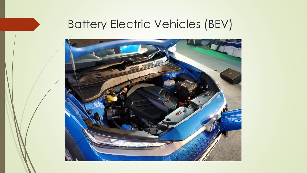#### Battery Electric Vehicles (BEV)

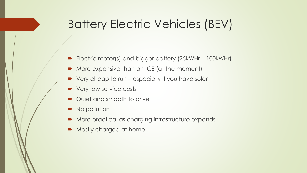#### Battery Electric Vehicles (BEV)

- Electric motor(s) and bigger battery (25kWHr 100kWHr)
- More expensive than an ICE (at the moment)
- Very cheap to run especially if you have solar
- Very low service costs
- Quiet and smooth to drive
- No pollution
- More practical as charging infrastructure expands
- Mostly charged at home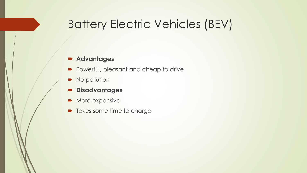#### Battery Electric Vehicles (BEV)

- **Powerful, pleasant and cheap to drive**
- No pollution
- **Disadvantages**
- More expensive
- Takes some time to charge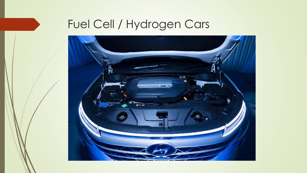

### Fuel Cell / Hydrogen Cars

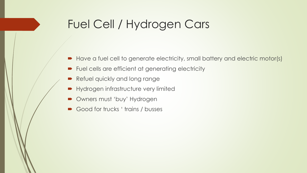#### Fuel Cell / Hydrogen Cars

- Have a fuel cell to generate electricity, small battery and electric motor(s)
- Fuel cells are efficient at generating electricity
- Refuel quickly and long range
- **Hydrogen infrastructure very limited**
- Owners must 'buy' Hydrogen
- Good for trucks ' trains / busses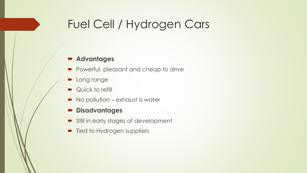#### Fuel Cell / Hydrogen Cars

- **Powerful, pleasant and cheap to drive**
- **D** Long range
- Quick to refill
- No pollution exhaust is water
- **Disadvantages**
- Still in early stages of development
- Tied to Hydrogen suppliers